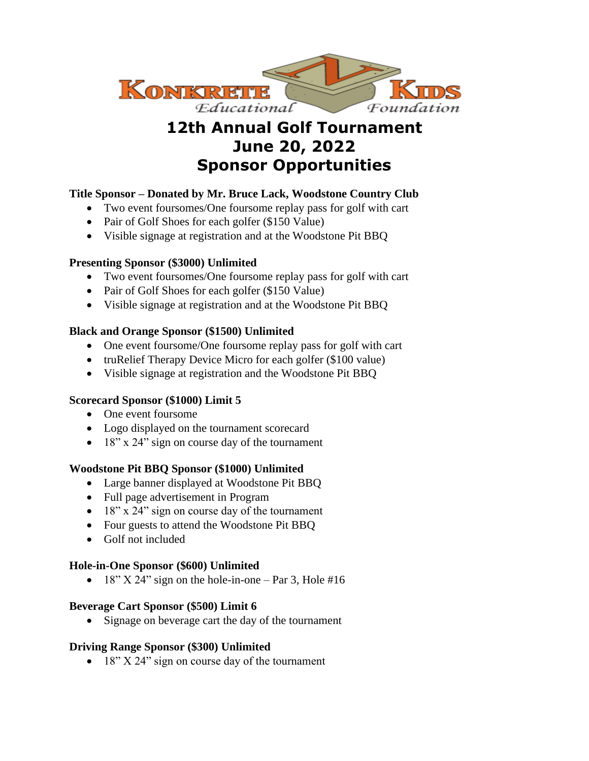

# **12th Annual Golf Tournament June 20, 2022 Sponsor Opportunities**

# **Title Sponsor – Donated by Mr. Bruce Lack, Woodstone Country Club**

- Two event foursomes/One foursome replay pass for golf with cart
- Pair of Golf Shoes for each golfer (\$150 Value)
- Visible signage at registration and at the Woodstone Pit BBQ

### **Presenting Sponsor (\$3000) Unlimited**

- Two event foursomes/One foursome replay pass for golf with cart
- Pair of Golf Shoes for each golfer (\$150 Value)
- Visible signage at registration and at the Woodstone Pit BBQ

## **Black and Orange Sponsor (\$1500) Unlimited**

- One event foursome/One foursome replay pass for golf with cart
- truRelief Therapy Device Micro for each golfer (\$100 value)
- Visible signage at registration and the Woodstone Pit BBQ

### **Scorecard Sponsor (\$1000) Limit 5**

- One event foursome
- Logo displayed on the tournament scorecard
- 18" x 24" sign on course day of the tournament

### **Woodstone Pit BBQ Sponsor (\$1000) Unlimited**

- Large banner displayed at Woodstone Pit BBQ
- Full page advertisement in Program
- 18" x 24" sign on course day of the tournament
- Four guests to attend the Woodstone Pit BBQ
- Golf not included

### **Hole-in-One Sponsor (\$600) Unlimited**

• 18"  $X$  24" sign on the hole-in-one – Par 3, Hole #16

### **Beverage Cart Sponsor (\$500) Limit 6**

• Signage on beverage cart the day of the tournament

## **Driving Range Sponsor (\$300) Unlimited**

• 18" X 24" sign on course day of the tournament